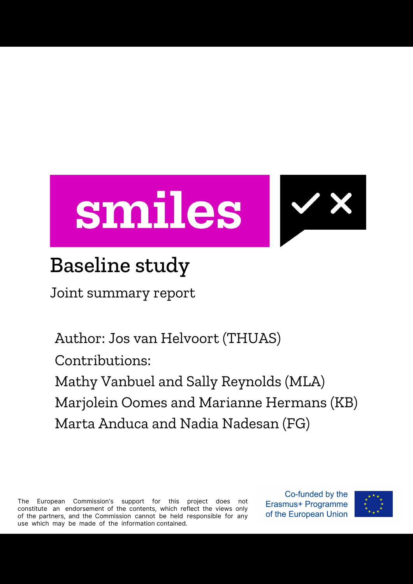

### Baseline study

Joint summary report

Author: Jos van Helvoort (THUAS) Contributions: Mathy Vanbuel and Sally Reynolds (MLA) Marjolein Oomes and Marianne Hermans (KB) Marta Anduca and Nadia Nadesan (FG)

The European Commission's support for this project does not constitute an endorsement of the contents, which reflect the views only of the partners, and the Commission cannot be held responsible for any use which may be made of the information contained.

Co-funded by the Erasmus+ Programme of the European Union

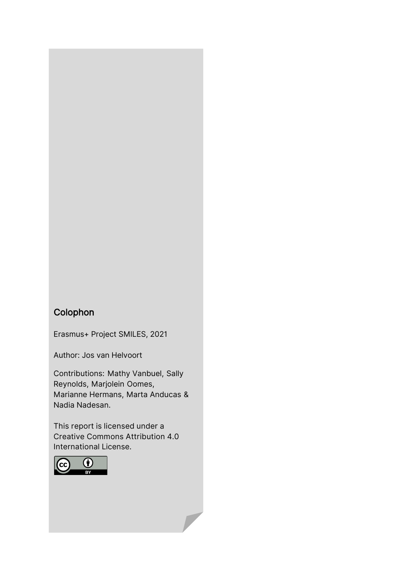#### Colophon

Erasmus+ Project SMILES, 2021

Author: Jos van Helvoort

Contributions: Mathy Vanbuel, Sally Reynolds, Marjolein Oomes, Marianne Hermans, Marta Anducas & Nadia Nadesan.

This report is licensed under a Creative Commons Attribution 4.0 International License.

 $\overline{\phantom{a}}$ 

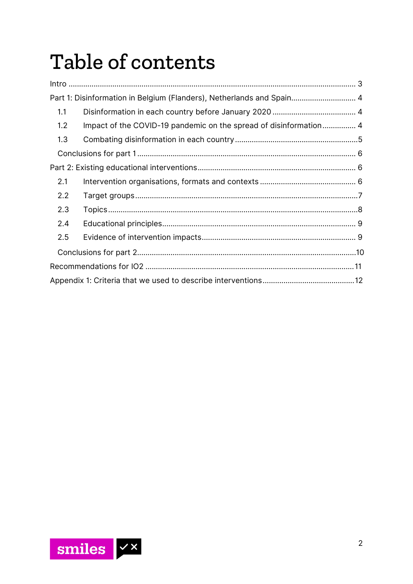# Table of contents

| Part 1: Disinformation in Belgium (Flanders), Netherlands and Spain 4 |                                                                   |
|-----------------------------------------------------------------------|-------------------------------------------------------------------|
|                                                                       |                                                                   |
|                                                                       |                                                                   |
|                                                                       |                                                                   |
|                                                                       |                                                                   |
|                                                                       |                                                                   |
|                                                                       |                                                                   |
|                                                                       |                                                                   |
|                                                                       |                                                                   |
|                                                                       |                                                                   |
|                                                                       |                                                                   |
|                                                                       |                                                                   |
|                                                                       |                                                                   |
|                                                                       |                                                                   |
|                                                                       | Impact of the COVID-19 pandemic on the spread of disinformation 4 |

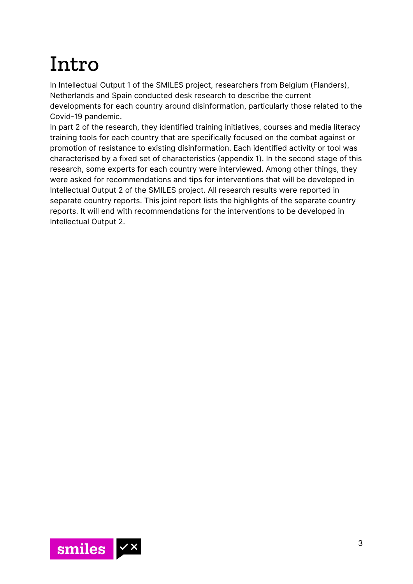## <span id="page-3-0"></span>Intro

In Intellectual Output 1 of the SMILES project, researchers from Belgium (Flanders), Netherlands and Spain conducted desk research to describe the current developments for each country around disinformation, particularly those related to the Covid-19 pandemic.

In part 2 of the research, they identified training initiatives, courses and media literacy training tools for each country that are specifically focused on the combat against or promotion of resistance to existing disinformation. Each identified activity or tool was characterised by a fixed set of characteristics (appendix 1). In the second stage of this research, some experts for each country were interviewed. Among other things, they were asked for recommendations and tips for interventions that will be developed in Intellectual Output 2 of the SMILES project. All research results were reported in separate country reports. This joint report lists the highlights of the separate country reports. It will end with recommendations for the interventions to be developed in Intellectual Output 2.

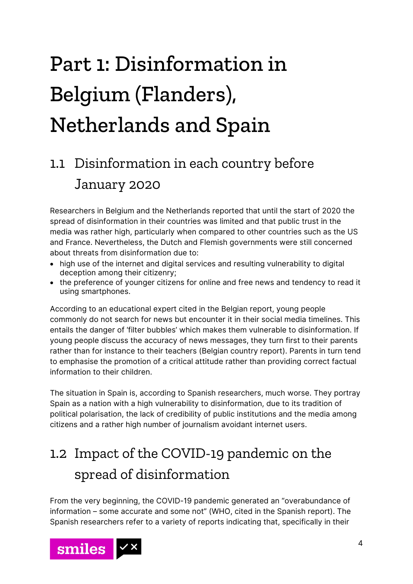# <span id="page-4-0"></span>Part 1: Disinformation in Belgium (Flanders), Netherlands and Spain

### <span id="page-4-1"></span>1.1 Disinformation in each country before January 2020

Researchers in Belgium and the Netherlands reported that until the start of 2020 the spread of disinformation in their countries was limited and that public trust in the media was rather high, particularly when compared to other countries such as the US and France. Nevertheless, the Dutch and Flemish governments were still concerned about threats from disinformation due to:

- high use of the internet and digital services and resulting vulnerability to digital deception among their citizenry;
- the preference of younger citizens for online and free news and tendency to read it using smartphones.

According to an educational expert cited in the Belgian report, young people commonly do not search for news but encounter it in their social media timelines. This entails the danger of 'filter bubbles' which makes them vulnerable to disinformation. If young people discuss the accuracy of news messages, they turn first to their parents rather than for instance to their teachers (Belgian country report). Parents in turn tend to emphasise the promotion of a critical attitude rather than providing correct factual information to their children.

The situation in Spain is, according to Spanish researchers, much worse. They portray Spain as a nation with a high vulnerability to disinformation, due to its tradition of political polarisation, the lack of credibility of public institutions and the media among citizens and a rather high number of journalism avoidant internet users.

### <span id="page-4-2"></span>1.2 Impact of the COVID-19 pandemic on the spread of disinformation

From the very beginning, the COVID-19 pandemic generated an "overabundance of information – some accurate and some not" (WHO, cited in the Spanish report). The Spanish researchers refer to a variety of reports indicating that, specifically in their

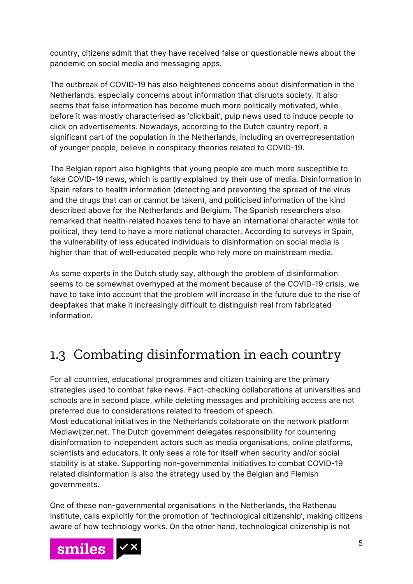country, citizens admit that they have received false or questionable news about the pandemic on social media and messaging apps.

The outbreak of COVID-19 has also heightened concerns about disinformation in the Netherlands, especially concerns about information that disrupts society. It also seems that false information has become much more politically motivated, while before it was mostly characterised as 'clickbait', pulp news used to induce people to click on advertisements. Nowadays, according to the Dutch country report, a significant part of the population in the Netherlands, including an overrepresentation of younger people, believe in conspiracy theories related to COVID-19.

The Belgian report also highlights that young people are much more susceptible to fake COVID-19 news, which is partly explained by their use of media. Disinformation in Spain refers to health information (detecting and preventing the spread of the virus and the drugs that can or cannot be taken), and politicised information of the kind described above for the Netherlands and Belgium. The Spanish researchers also remarked that health-related hoaxes tend to have an international character while for political, they tend to have a more national character. According to surveys in Spain, the vulnerability of less educated individuals to disinformation on social media is higher than that of well-educated people who rely more on mainstream media.

As some experts in the Dutch study say, although the problem of disinformation seems to be somewhat overhyped at the moment because of the COVID-19 crisis, we have to take into account that the problem will increase in the future due to the rise of deepfakes that make it increasingly difficult to distinguish real from fabricated information.

### <span id="page-5-0"></span>1.3 Combating disinformation in each country

For all countries, educational programmes and citizen training are the primary strategies used to combat fake news. Fact-checking collaborations at universities and schools are in second place, while deleting messages and prohibiting access are not preferred due to considerations related to freedom of speech. Most educational initiatives in the Netherlands collaborate on the network platform Mediawijzer.net. The Dutch government delegates responsibility for countering disinformation to independent actors such as media organisations, online platforms, scientists and educators. It only sees a role for itself when security and/or social stability is at stake. Supporting non-governmental initiatives to combat COVID-19 related disinformation is also the strategy used by the Belgian and Flemish governments.

One of these non-governmental organisations in the Netherlands, the Rathenau Institute, calls explicitly for the promotion of 'technological citizenship', making citizens aware of how technology works. On the other hand, technological citizenship is not

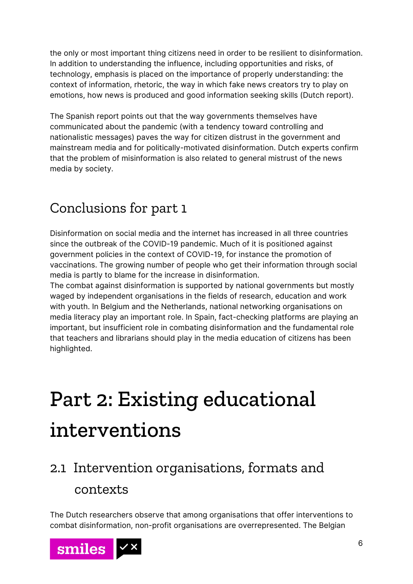the only or most important thing citizens need in order to be resilient to disinformation. In addition to understanding the influence, including opportunities and risks, of technology, emphasis is placed on the importance of properly understanding: the context of information, rhetoric, the way in which fake news creators try to play on emotions, how news is produced and good information seeking skills (Dutch report).

The Spanish report points out that the way governments themselves have communicated about the pandemic (with a tendency toward controlling and nationalistic messages) paves the way for citizen distrust in the government and mainstream media and for politically-motivated disinformation. Dutch experts confirm that the problem of misinformation is also related to general mistrust of the news media by society.

### <span id="page-6-0"></span>Conclusions for part 1

Disinformation on social media and the internet has increased in all three countries since the outbreak of the COVID-19 pandemic. Much of it is positioned against government policies in the context of COVID-19, for instance the promotion of vaccinations. The growing number of people who get their information through social media is partly to blame for the increase in disinformation.

The combat against disinformation is supported by national governments but mostly waged by independent organisations in the fields of research, education and work with youth. In Belgium and the Netherlands, national networking organisations on media literacy play an important role. In Spain, fact-checking platforms are playing an important, but insufficient role in combating disinformation and the fundamental role that teachers and librarians should play in the media education of citizens has been highlighted.

# <span id="page-6-1"></span>Part 2: Existing educational interventions

### <span id="page-6-2"></span>2.1 Intervention organisations, formats and contexts

The Dutch researchers observe that among organisations that offer interventions to combat disinformation, non-profit organisations are overrepresented. The Belgian

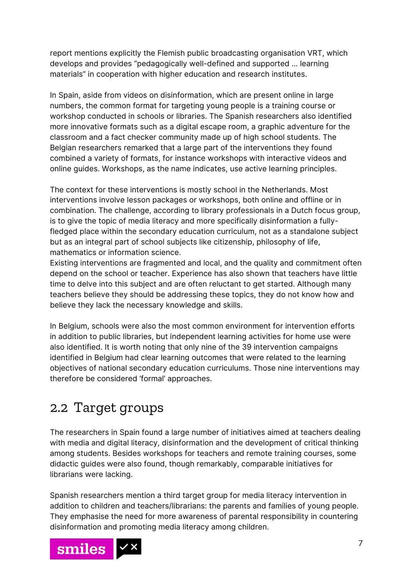report mentions explicitly the Flemish public broadcasting organisation VRT, which develops and provides "pedagogically well-defined and supported ... learning materials" in cooperation with higher education and research institutes.

In Spain, aside from videos on disinformation, which are present online in large numbers, the common format for targeting young people is a training course or workshop conducted in schools or libraries. The Spanish researchers also identified more innovative formats such as a digital escape room, a graphic adventure for the classroom and a fact checker community made up of high school students. The Belgian researchers remarked that a large part of the interventions they found combined a variety of formats, for instance workshops with interactive videos and online guides. Workshops, as the name indicates, use active learning principles.

The context for these interventions is mostly school in the Netherlands. Most interventions involve lesson packages or workshops, both online and offline or in combination. The challenge, according to library professionals in a Dutch focus group, is to give the topic of media literacy and more specifically disinformation a fullyfledged place within the secondary education curriculum, not as a standalone subject but as an integral part of school subjects like citizenship, philosophy of life, mathematics or information science.

Existing interventions are fragmented and local, and the quality and commitment often depend on the school or teacher. Experience has also shown that teachers have little time to delve into this subject and are often reluctant to get started. Although many teachers believe they should be addressing these topics, they do not know how and believe they lack the necessary knowledge and skills.

In Belgium, schools were also the most common environment for intervention efforts in addition to public libraries, but independent learning activities for home use were also identified. It is worth noting that only nine of the 39 intervention campaigns identified in Belgium had clear learning outcomes that were related to the learning objectives of national secondary education curriculums. Those nine interventions may therefore be considered 'formal' approaches.

#### <span id="page-7-0"></span>2.2 Target groups

The researchers in Spain found a large number of initiatives aimed at teachers dealing with media and digital literacy, disinformation and the development of critical thinking among students. Besides workshops for teachers and remote training courses, some didactic guides were also found, though remarkably, comparable initiatives for librarians were lacking.

Spanish researchers mention a third target group for media literacy intervention in addition to children and teachers/librarians: the parents and families of young people. They emphasise the need for more awareness of parental responsibility in countering disinformation and promoting media literacy among children.

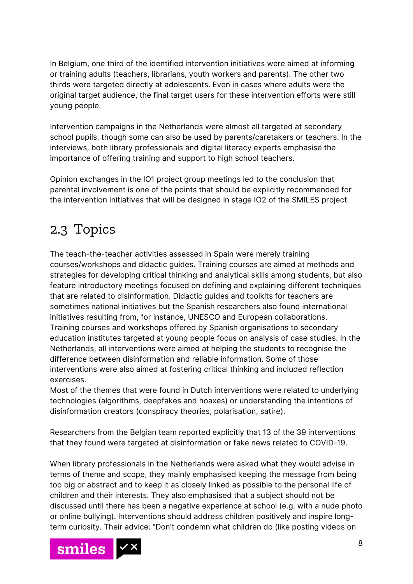In Belgium, one third of the identified intervention initiatives were aimed at informing or training adults (teachers, librarians, youth workers and parents). The other two thirds were targeted directly at adolescents. Even in cases where adults were the original target audience, the final target users for these intervention efforts were still young people.

Intervention campaigns in the Netherlands were almost all targeted at secondary school pupils, though some can also be used by parents/caretakers or teachers. In the interviews, both library professionals and digital literacy experts emphasise the importance of offering training and support to high school teachers.

Opinion exchanges in the IO1 project group meetings led to the conclusion that parental involvement is one of the points that should be explicitly recommended for the intervention initiatives that will be designed in stage IO2 of the SMILES project.

### <span id="page-8-0"></span>2.3 Topics

The teach-the-teacher activities assessed in Spain were merely training courses/workshops and didactic guides. Training courses are aimed at methods and strategies for developing critical thinking and analytical skills among students, but also feature introductory meetings focused on defining and explaining different techniques that are related to disinformation. Didactic guides and toolkits for teachers are sometimes national initiatives but the Spanish researchers also found international initiatives resulting from, for instance, UNESCO and European collaborations. Training courses and workshops offered by Spanish organisations to secondary education institutes targeted at young people focus on analysis of case studies. In the Netherlands, all interventions were aimed at helping the students to recognise the difference between disinformation and reliable information. Some of those interventions were also aimed at fostering critical thinking and included reflection exercises.

Most of the themes that were found in Dutch interventions were related to underlying technologies (algorithms, deepfakes and hoaxes) or understanding the intentions of disinformation creators (conspiracy theories, polarisation, satire).

Researchers from the Belgian team reported explicitly that 13 of the 39 interventions that they found were targeted at disinformation or fake news related to COVID-19.

When library professionals in the Netherlands were asked what they would advise in terms of theme and scope, they mainly emphasised keeping the message from being too big or abstract and to keep it as closely linked as possible to the personal life of children and their interests. They also emphasised that a subject should not be discussed until there has been a negative experience at school (e.g. with a nude photo or online bullying). Interventions should address children positively and inspire longterm curiosity. Their advice: "Don't condemn what children do (like posting videos on

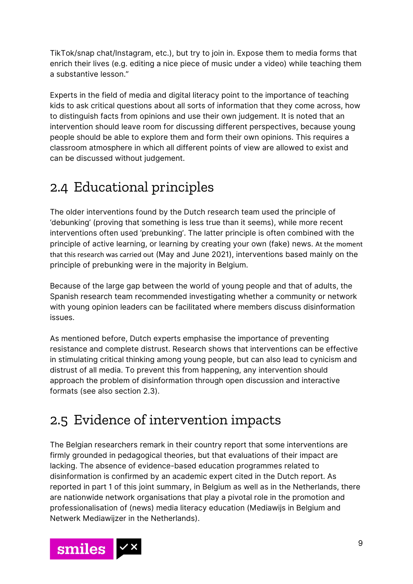TikTok/snap chat/Instagram, etc.), but try to join in. Expose them to media forms that enrich their lives (e.g. editing a nice piece of music under a video) while teaching them a substantive lesson."

Experts in the field of media and digital literacy point to the importance of teaching kids to ask critical questions about all sorts of information that they come across, how to distinguish facts from opinions and use their own judgement. It is noted that an intervention should leave room for discussing different perspectives, because young people should be able to explore them and form their own opinions. This requires a classroom atmosphere in which all different points of view are allowed to exist and can be discussed without judgement.

### <span id="page-9-0"></span>2.4 Educational principles

The older interventions found by the Dutch research team used the principle of 'debunking' (proving that something is less true than it seems), while more recent interventions often used 'prebunking'. The latter principle is often combined with the principle of active learning, or learning by creating your own (fake) news. At the moment that this research was carried out (May and June 2021), interventions based mainly on the principle of prebunking were in the majority in Belgium.

Because of the large gap between the world of young people and that of adults, the Spanish research team recommended investigating whether a community or network with young opinion leaders can be facilitated where members discuss disinformation issues.

As mentioned before, Dutch experts emphasise the importance of preventing resistance and complete distrust. Research shows that interventions can be effective in stimulating critical thinking among young people, but can also lead to cynicism and distrust of all media. To prevent this from happening, any intervention should approach the problem of disinformation through open discussion and interactive formats (see also section 2.3).

### <span id="page-9-1"></span>2.5 Evidence of intervention impacts

The Belgian researchers remark in their country report that some interventions are firmly grounded in pedagogical theories, but that evaluations of their impact are lacking. The absence of evidence-based education programmes related to disinformation is confirmed by an academic expert cited in the Dutch report. As reported in part 1 of this joint summary, in Belgium as well as in the Netherlands, there are nationwide network organisations that play a pivotal role in the promotion and professionalisation of (news) media literacy education (Mediawijs in Belgium and Netwerk Mediawijzer in the Netherlands).

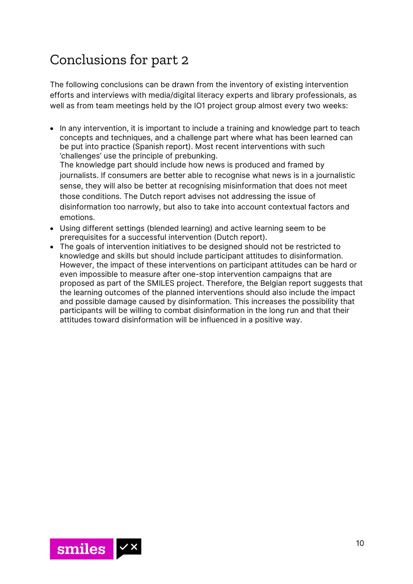### <span id="page-10-0"></span>Conclusions for part 2

The following conclusions can be drawn from the inventory of existing intervention efforts and interviews with media/digital literacy experts and library professionals, as well as from team meetings held by the IO1 project group almost every two weeks:

• In any intervention, it is important to include a training and knowledge part to teach concepts and techniques, and a challenge part where what has been learned can be put into practice (Spanish report). Most recent interventions with such 'challenges' use the principle of prebunking. The knowledge part should include how news is produced and framed by

journalists. If consumers are better able to recognise what news is in a journalistic sense, they will also be better at recognising misinformation that does not meet those conditions. The Dutch report advises not addressing the issue of disinformation too narrowly, but also to take into account contextual factors and emotions.

- Using different settings (blended learning) and active learning seem to be prerequisites for a successful intervention (Dutch report).
- The goals of intervention initiatives to be designed should not be restricted to knowledge and skills but should include participant attitudes to disinformation. However, the impact of these interventions on participant attitudes can be hard or even impossible to measure after one-stop intervention campaigns that are proposed as part of the SMILES project. Therefore, the Belgian report suggests that the learning outcomes of the planned interventions should also include the impact and possible damage caused by disinformation. This increases the possibility that participants will be willing to combat disinformation in the long run and that their attitudes toward disinformation will be influenced in a positive way.

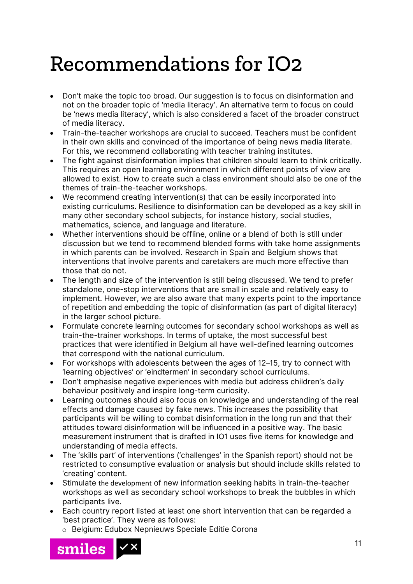### <span id="page-11-0"></span>Recommendations for IO2

- Don't make the topic too broad. Our suggestion is to focus on disinformation and not on the broader topic of 'media literacy'. An alternative term to focus on could be 'news media literacy', which is also considered a facet of the broader construct of media literacy.
- Train-the-teacher workshops are crucial to succeed. Teachers must be confident in their own skills and convinced of the importance of being news media literate. For this, we recommend collaborating with teacher training institutes.
- The fight against disinformation implies that children should learn to think critically. This requires an open learning environment in which different points of view are allowed to exist. How to create such a class environment should also be one of the themes of train-the-teacher workshops.
- We recommend creating intervention(s) that can be easily incorporated into existing curriculums. Resilience to disinformation can be developed as a key skill in many other secondary school subjects, for instance history, social studies, mathematics, science, and language and literature.
- Whether interventions should be offline, online or a blend of both is still under discussion but we tend to recommend blended forms with take home assignments in which parents can be involved. Research in Spain and Belgium shows that interventions that involve parents and caretakers are much more effective than those that do not.
- The length and size of the intervention is still being discussed. We tend to prefer standalone, one-stop interventions that are small in scale and relatively easy to implement. However, we are also aware that many experts point to the importance of repetition and embedding the topic of disinformation (as part of digital literacy) in the larger school picture.
- Formulate concrete learning outcomes for secondary school workshops as well as train-the-trainer workshops. In terms of uptake, the most successful best practices that were identified in Belgium all have well-defined learning outcomes that correspond with the national curriculum.
- For workshops with adolescents between the ages of 12–15, try to connect with 'learning objectives' or 'eindtermen' in secondary school curriculums.
- Don't emphasise negative experiences with media but address children's daily behaviour positively and inspire long-term curiosity.
- Learning outcomes should also focus on knowledge and understanding of the real effects and damage caused by fake news. This increases the possibility that participants will be willing to combat disinformation in the long run and that their attitudes toward disinformation will be influenced in a positive way. The basic measurement instrument that is drafted in IO1 uses five items for knowledge and understanding of media effects.
- The 'skills part' of interventions ('challenges' in the Spanish report) should not be restricted to consumptive evaluation or analysis but should include skills related to 'creating' content.
- Stimulate the development of new information seeking habits in train-the-teacher workshops as well as secondary school workshops to break the bubbles in which participants live.
- Each country report listed at least one short intervention that can be regarded a 'best practice'. They were as follows:
	- o Belgium: Edubox Nepnieuws Speciale Editie Corona